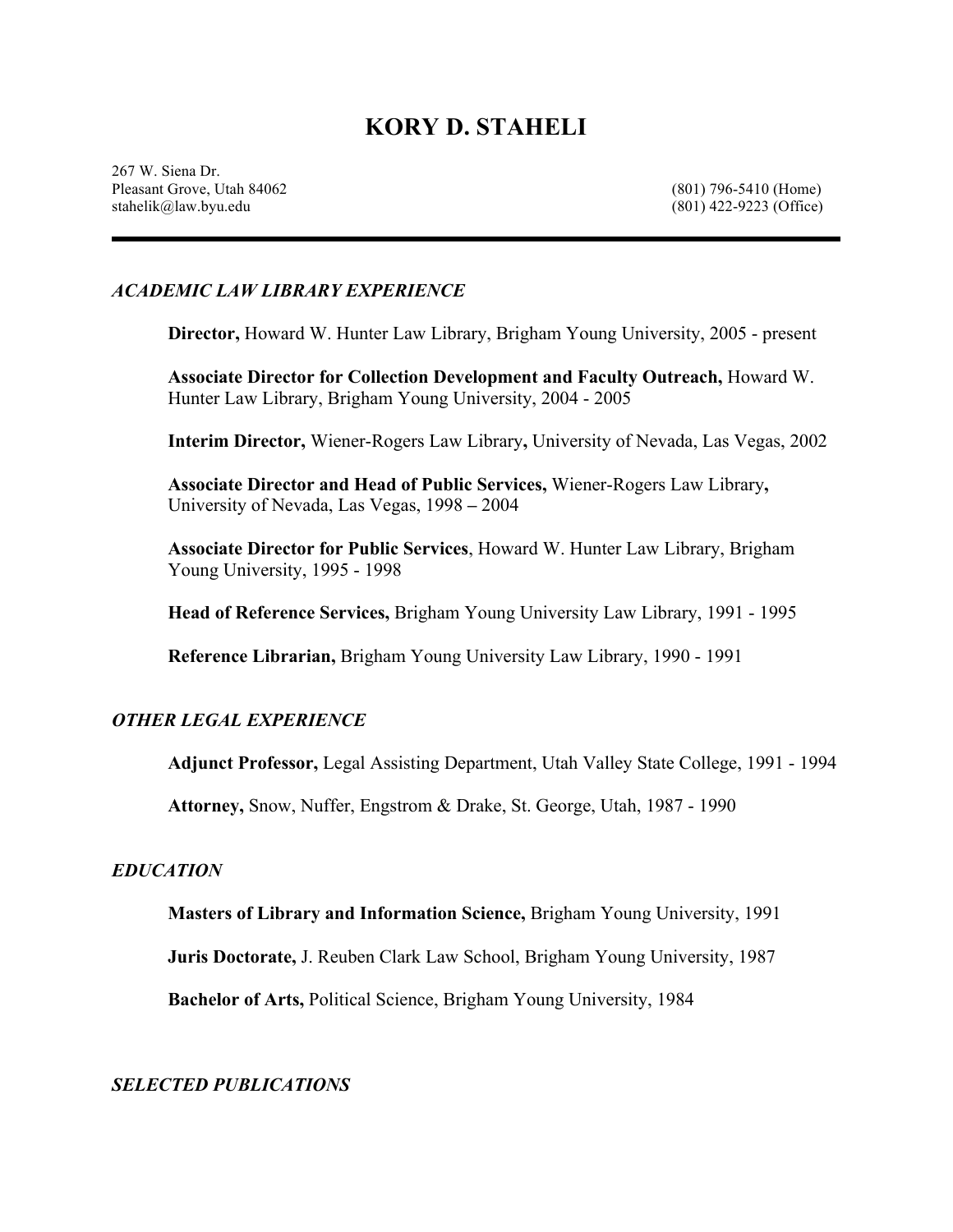# **KORY D. STAHELI**

267 W. Siena Dr. Pleasant Grove, Utah 84062 (801) 796-5410 (Home) stahelik@law.byu.edu (801) 422-9223 (Office)

#### *ACADEMIC LAW LIBRARY EXPERIENCE*

**Director,** Howard W. Hunter Law Library, Brigham Young University, 2005 - present

**Associate Director for Collection Development and Faculty Outreach,** Howard W. Hunter Law Library, Brigham Young University, 2004 - 2005

**Interim Director,** Wiener-Rogers Law Library**,** University of Nevada, Las Vegas, 2002

**Associate Director and Head of Public Services,** Wiener-Rogers Law Library**,**  University of Nevada, Las Vegas, 1998 **–** 2004

**Associate Director for Public Services**, Howard W. Hunter Law Library, Brigham Young University, 1995 - 1998

**Head of Reference Services,** Brigham Young University Law Library, 1991 - 1995

**Reference Librarian,** Brigham Young University Law Library, 1990 - 1991

#### *OTHER LEGAL EXPERIENCE*

**Adjunct Professor,** Legal Assisting Department, Utah Valley State College, 1991 - 1994

**Attorney,** Snow, Nuffer, Engstrom & Drake, St. George, Utah, 1987 - 1990

#### *EDUCATION*

**Masters of Library and Information Science,** Brigham Young University, 1991

**Juris Doctorate,** J. Reuben Clark Law School, Brigham Young University, 1987

**Bachelor of Arts,** Political Science, Brigham Young University, 1984

*SELECTED PUBLICATIONS*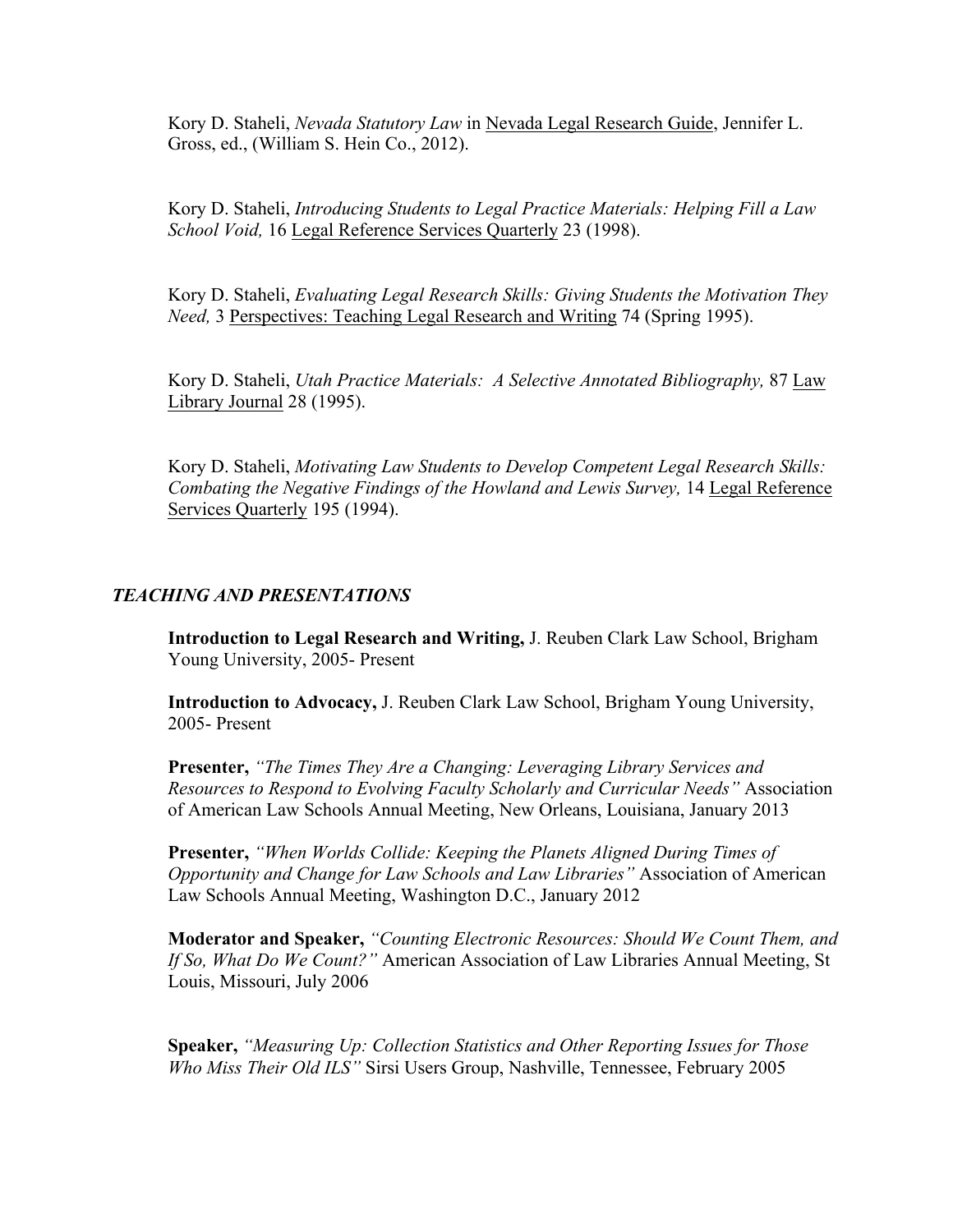Kory D. Staheli, *Nevada Statutory Law* in Nevada Legal Research Guide, Jennifer L. Gross, ed., (William S. Hein Co., 2012).

Kory D. Staheli, *Introducing Students to Legal Practice Materials: Helping Fill a Law School Void,* 16 Legal Reference Services Quarterly 23 (1998).

Kory D. Staheli, *Evaluating Legal Research Skills: Giving Students the Motivation They Need,* 3 Perspectives: Teaching Legal Research and Writing 74 (Spring 1995).

Kory D. Staheli, *Utah Practice Materials: A Selective Annotated Bibliography,* 87 Law Library Journal 28 (1995).

Kory D. Staheli, *Motivating Law Students to Develop Competent Legal Research Skills: Combating the Negative Findings of the Howland and Lewis Survey,* 14 Legal Reference Services Quarterly 195 (1994).

## *TEACHING AND PRESENTATIONS*

**Introduction to Legal Research and Writing,** J. Reuben Clark Law School, Brigham Young University, 2005- Present

**Introduction to Advocacy,** J. Reuben Clark Law School, Brigham Young University, 2005- Present

**Presenter,** *"The Times They Are a Changing: Leveraging Library Services and Resources to Respond to Evolving Faculty Scholarly and Curricular Needs"* Association of American Law Schools Annual Meeting, New Orleans, Louisiana, January 2013

**Presenter,** *"When Worlds Collide: Keeping the Planets Aligned During Times of Opportunity and Change for Law Schools and Law Libraries"* Association of American Law Schools Annual Meeting, Washington D.C., January 2012

**Moderator and Speaker,** *"Counting Electronic Resources: Should We Count Them, and If So, What Do We Count?"* American Association of Law Libraries Annual Meeting, St Louis, Missouri, July 2006

**Speaker,** *"Measuring Up: Collection Statistics and Other Reporting Issues for Those Who Miss Their Old ILS"* Sirsi Users Group, Nashville, Tennessee, February 2005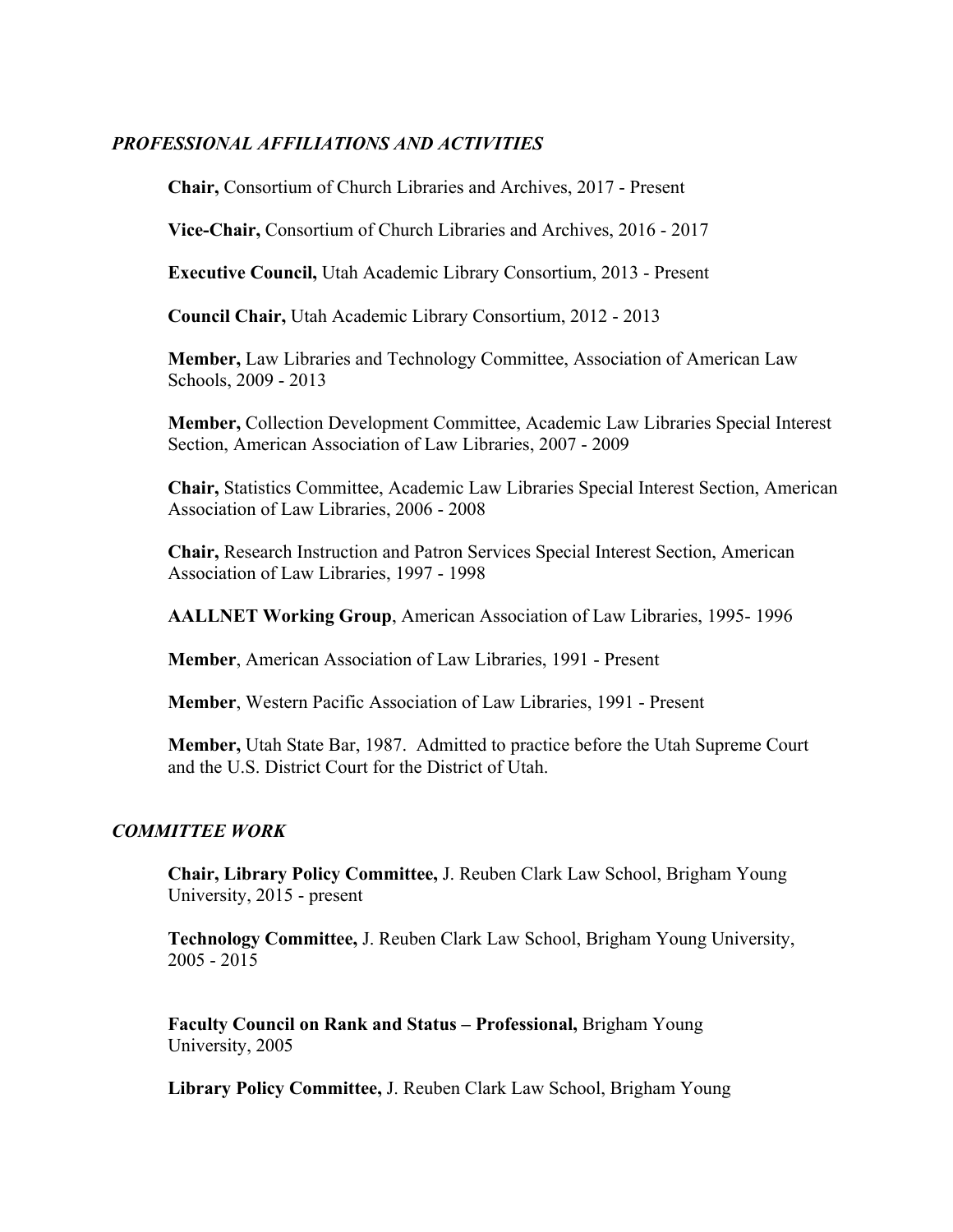### *PROFESSIONAL AFFILIATIONS AND ACTIVITIES*

**Chair,** Consortium of Church Libraries and Archives, 2017 - Present

**Vice-Chair,** Consortium of Church Libraries and Archives, 2016 - 2017

**Executive Council,** Utah Academic Library Consortium, 2013 - Present

**Council Chair,** Utah Academic Library Consortium, 2012 - 2013

**Member,** Law Libraries and Technology Committee, Association of American Law Schools, 2009 - 2013

**Member,** Collection Development Committee, Academic Law Libraries Special Interest Section, American Association of Law Libraries, 2007 - 2009

**Chair,** Statistics Committee, Academic Law Libraries Special Interest Section, American Association of Law Libraries, 2006 - 2008

**Chair,** Research Instruction and Patron Services Special Interest Section, American Association of Law Libraries, 1997 - 1998

**AALLNET Working Group**, American Association of Law Libraries, 1995- 1996

**Member**, American Association of Law Libraries, 1991 - Present

**Member**, Western Pacific Association of Law Libraries, 1991 - Present

**Member,** Utah State Bar, 1987. Admitted to practice before the Utah Supreme Court and the U.S. District Court for the District of Utah.

### *COMMITTEE WORK*

**Chair, Library Policy Committee,** J. Reuben Clark Law School, Brigham Young University, 2015 - present

**Technology Committee,** J. Reuben Clark Law School, Brigham Young University, 2005 - 2015

**Faculty Council on Rank and Status – Professional,** Brigham Young University, 2005

**Library Policy Committee,** J. Reuben Clark Law School, Brigham Young